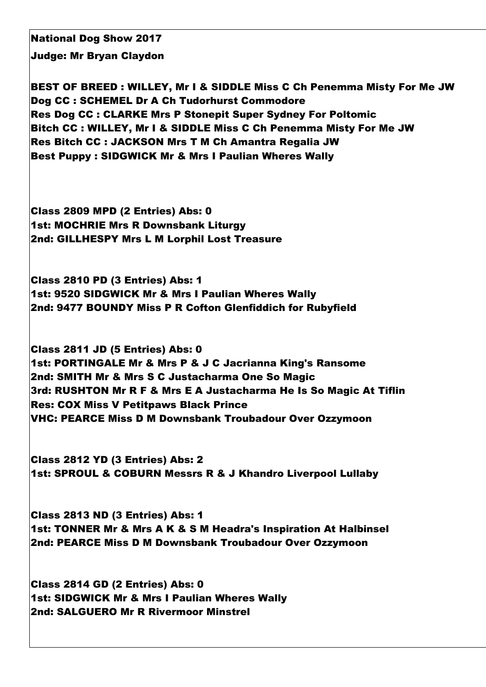National Dog Show 2017

Judge: Mr Bryan Claydon

BEST OF BREED : WILLEY, Mr I & SIDDLE Miss C Ch Penemma Misty For Me JW Dog CC : SCHEMEL Dr A Ch Tudorhurst Commodore Res Dog CC : CLARKE Mrs P Stonepit Super Sydney For Poltomic Bitch CC : WILLEY, Mr I & SIDDLE Miss C Ch Penemma Misty For Me JW Res Bitch CC : JACKSON Mrs T M Ch Amantra Regalia JW Best Puppy : SIDGWICK Mr & Mrs I Paulian Wheres Wally

Class 2809 MPD (2 Entries) Abs: 0 1st: MOCHRIE Mrs R Downsbank Liturgy 2nd: GILLHESPY Mrs L M Lorphil Lost Treasure

Class 2810 PD (3 Entries) Abs: 1 1st: 9520 SIDGWICK Mr & Mrs I Paulian Wheres Wally 2nd: 9477 BOUNDY Miss P R Cofton Glenfiddich for Rubyfield

Class 2811 JD (5 Entries) Abs: 0 1st: PORTINGALE Mr & Mrs P & J C Jacrianna King's Ransome 2nd: SMITH Mr & Mrs S C Justacharma One So Magic 3rd: RUSHTON Mr R F & Mrs E A Justacharma He Is So Magic At Tiflin Res: COX Miss V Petitpaws Black Prince VHC: PEARCE Miss D M Downsbank Troubadour Over Ozzymoon

Class 2812 YD (3 Entries) Abs: 2 1st: SPROUL & COBURN Messrs R & J Khandro Liverpool Lullaby

Class 2813 ND (3 Entries) Abs: 1 1st: TONNER Mr & Mrs A K & S M Headra's Inspiration At Halbinsel 2nd: PEARCE Miss D M Downsbank Troubadour Over Ozzymoon

Class 2814 GD (2 Entries) Abs: 0 1st: SIDGWICK Mr & Mrs I Paulian Wheres Wally 2nd: SALGUERO Mr R Rivermoor Minstrel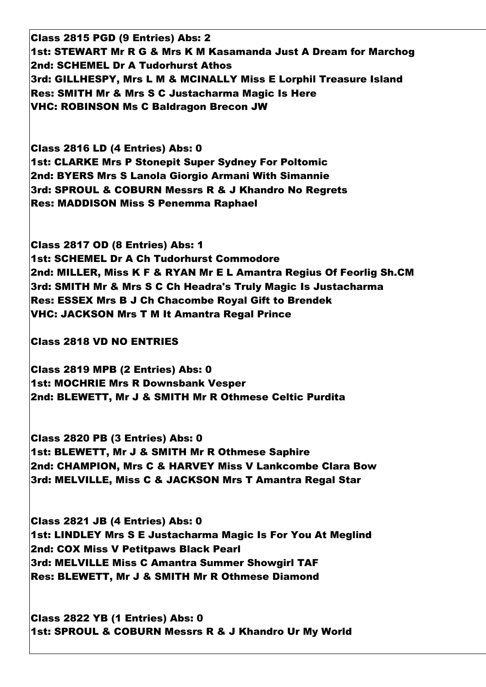Class 2815 PGD (9 Entries) Abs: 2 1st: STEWART Mr R G & Mrs K M Kasamanda Just A Dream for Marchog 2nd: SCHEMEL Dr A Tudorhurst Athos 3rd: GILLHESPY, Mrs L M & MCINALLY Miss E Lorphil Treasure Island Res: SMITH Mr & Mrs S C Justacharma Magic Is Here VHC: ROBINSON Ms C Baldragon Brecon JW

Class 2816 LD (4 Entries) Abs: 0 1st: CLARKE Mrs P Stonepit Super Sydney For Poltomic 2nd: BYERS Mrs S Lanola Giorgio Armani With Simannie 3rd: SPROUL & COBURN Messrs R & J Khandro No Regrets Res: MADDISON Miss S Penemma Raphael

Class 2817 OD (8 Entries) Abs: 1 1st: SCHEMEL Dr A Ch Tudorhurst Commodore 2nd: MILLER, Miss K F & RYAN Mr E L Amantra Regius Of Feorlig Sh.CM 3rd: SMITH Mr & Mrs S C Ch Headra's Truly Magic Is Justacharma Res: ESSEX Mrs B J Ch Chacombe Royal Gift to Brendek VHC: JACKSON Mrs T M It Amantra Regal Prince

Class 2818 VD NO ENTRIES

Class 2819 MPB (2 Entries) Abs: 0 1st: MOCHRIE Mrs R Downsbank Vesper 2nd: BLEWETT, Mr J & SMITH Mr R Othmese Celtic Purdita

Class 2820 PB (3 Entries) Abs: 0 1st: BLEWETT, Mr J & SMITH Mr R Othmese Saphire 2nd: CHAMPION, Mrs C & HARVEY Miss V Lankcombe Clara Bow 3rd: MELVILLE, Miss C & JACKSON Mrs T Amantra Regal Star

Class 2821 JB (4 Entries) Abs: 0 1st: LINDLEY Mrs S E Justacharma Magic Is For You At Meglind 2nd: COX Miss V Petitpaws Black Pearl 3rd: MELVILLE Miss C Amantra Summer Showgirl TAF Res: BLEWETT, Mr J & SMITH Mr R Othmese Diamond

Class 2822 YB (1 Entries) Abs: 0 1st: SPROUL & COBURN Messrs R & J Khandro Ur My World